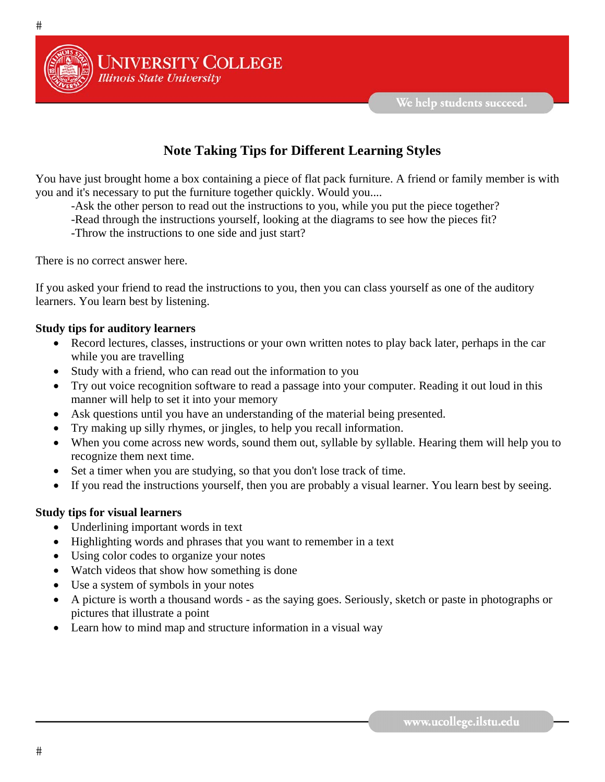

## **Note Taking Tips for Different Learning Styles**

You have just brought home a box containing a piece of flat pack furniture. A friend or family member is with you and it's necessary to put the furniture together quickly. Would you....

- -Ask the other person to read out the instructions to you, while you put the piece together?
- -Read through the instructions yourself, looking at the diagrams to see how the pieces fit?
- -Throw the instructions to one side and just start?

**UNIVERSITY COLLEGE** 

**Illinois State University** 

There is no correct answer here.

If you asked your friend to read the instructions to you, then you can class yourself as one of the auditory learners. You learn best by listening.

## **Study tips for auditory learners**

- Record lectures, classes, instructions or your own written notes to play back later, perhaps in the car while you are travelling
- Study with a friend, who can read out the information to you
- Try out voice recognition software to read a passage into your computer. Reading it out loud in this manner will help to set it into your memory
- Ask questions until you have an understanding of the material being presented.
- Try making up silly rhymes, or jingles, to help you recall information.
- When you come across new words, sound them out, syllable by syllable. Hearing them will help you to recognize them next time.
- Set a timer when you are studying, so that you don't lose track of time.
- If you read the instructions yourself, then you are probably a visual learner. You learn best by seeing.

## **Study tips for visual learners**

- Underlining important words in text
- Highlighting words and phrases that you want to remember in a text
- Using color codes to organize your notes
- Watch videos that show how something is done
- Use a system of symbols in your notes
- A picture is worth a thousand words as the saying goes. Seriously, sketch or paste in photographs or pictures that illustrate a point
- Learn how to mind map and structure information in a visual way

 $#$